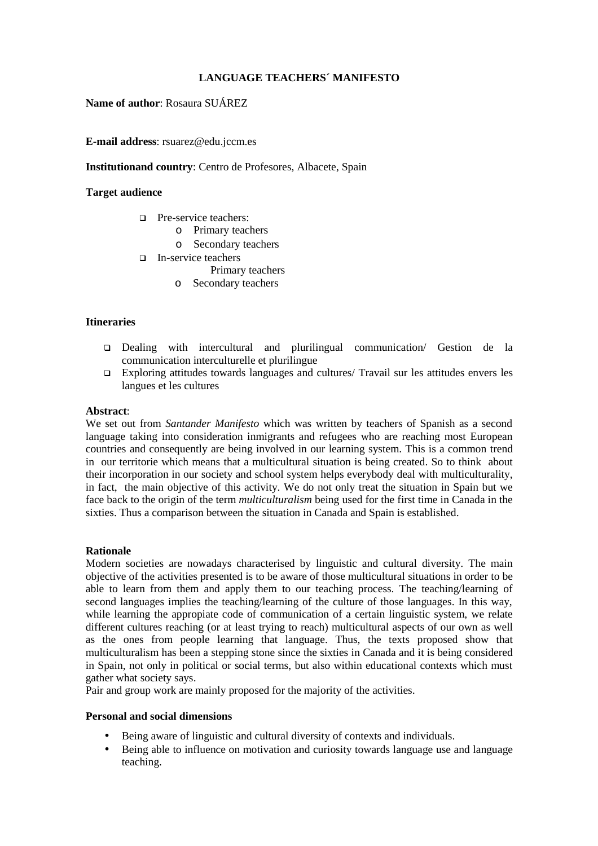# **LANGUAGE TEACHERS´ MANIFESTO**

**Name of author**: Rosaura SUÁREZ

**E-mail address**: rsuarez@edu.jccm.es

## **Institutionand country**: Centro de Profesores, Albacete, Spain

## **Target audience**

- **D** Pre-service teachers:
	- o Primary teachers
	- o Secondary teachers
- In-service teachers
	- Primary teachers
	- o Secondary teachers

### **Itineraries**

- Dealing with intercultural and plurilingual communication/ Gestion de la communication interculturelle et plurilingue
- Exploring attitudes towards languages and cultures/ Travail sur les attitudes envers les langues et les cultures

### **Abstract**:

We set out from *Santander Manifesto* which was written by teachers of Spanish as a second language taking into consideration inmigrants and refugees who are reaching most European countries and consequently are being involved in our learning system. This is a common trend in our territorie which means that a multicultural situation is being created. So to think about their incorporation in our society and school system helps everybody deal with multiculturality, in fact, the main objective of this activity. We do not only treat the situation in Spain but we face back to the origin of the term *multiculturalism* being used for the first time in Canada in the sixties. Thus a comparison between the situation in Canada and Spain is established.

### **Rationale**

Modern societies are nowadays characterised by linguistic and cultural diversity. The main objective of the activities presented is to be aware of those multicultural situations in order to be able to learn from them and apply them to our teaching process. The teaching/learning of second languages implies the teaching/learning of the culture of those languages. In this way, while learning the appropiate code of communication of a certain linguistic system, we relate different cultures reaching (or at least trying to reach) multicultural aspects of our own as well as the ones from people learning that language. Thus, the texts proposed show that multiculturalism has been a stepping stone since the sixties in Canada and it is being considered in Spain, not only in political or social terms, but also within educational contexts which must gather what society says.

Pair and group work are mainly proposed for the majority of the activities.

### **Personal and social dimensions**

- Being aware of linguistic and cultural diversity of contexts and individuals.
- Being able to influence on motivation and curiosity towards language use and language teaching.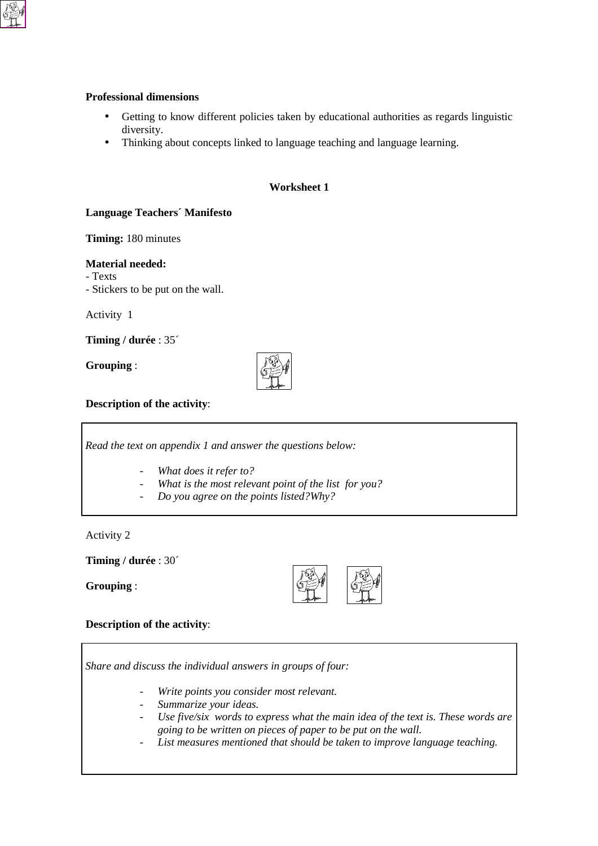### **Professional dimensions**

- Getting to know different policies taken by educational authorities as regards linguistic diversity.
- Thinking about concepts linked to language teaching and language learning.

# **Worksheet 1**

# **Language Teachers´ Manifesto**

**Timing:** 180 minutes

## **Material needed:**

- Texts

- Stickers to be put on the wall.

Activity 1

**Timing / durée** : 35´

**Grouping** :



**Description of the activity**:

*Read the text on appendix 1 and answer the questions below:*

- *What does it refer to?*
- What is the most relevant point of the list for you?
- *Do you agree on the points listed?Why?*

Activity 2

**Timing / durée** : 30´

**Grouping** :



# **Description of the activity**:

*Share and discuss the individual answers in groups of four:*

- *Write points you consider most relevant.*
- *Summarize your ideas.*
- Use five/six words to express what the main idea of the text is. These words are *going to be written on pieces of paper to be put on the wall.*
- List measures mentioned that should be taken to improve language teaching.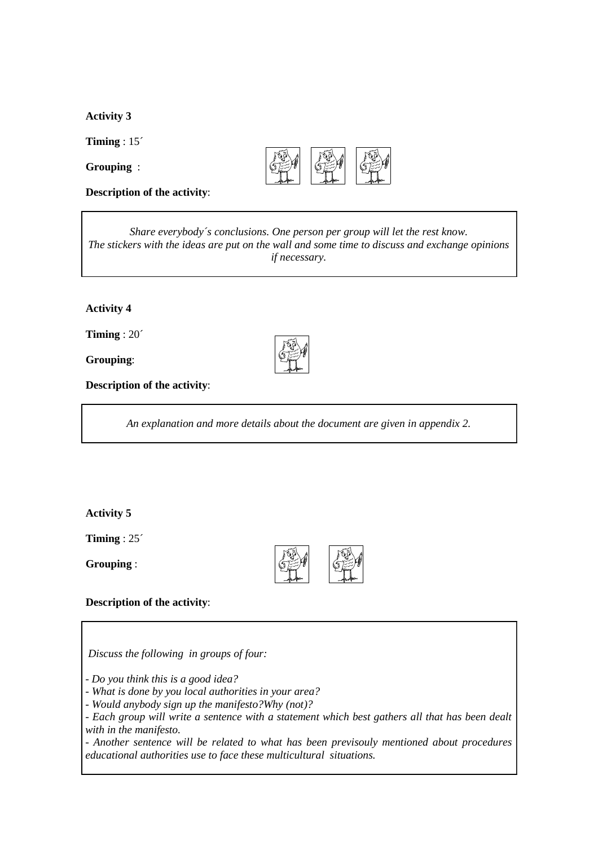**Activity 3** 

**Timing** : 15´

**Grouping** :



**Description of the activity**:

*Share everybody´s conclusions. One person per group will let the rest know. The stickers with the ideas are put on the wall and some time to discuss and exchange opinions if necessary.*

# **Activity 4**

**Timing** : 20´

**Grouping**:

**Description of the activity**:

*An explanation and more details about the document are given in appendix 2.*

## **Activity 5**

**Timing** : 25´

**Grouping** :



## **Description of the activity**:

 *Discuss the following in groups of four:*

*- Do you think this is a good idea?*

*- What is done by you local authorities in your area?*

*- Would anybody sign up the manifesto?Why (not)?*

*- Each group will write a sentence with a statement which best gathers all that has been dealt with in the manifesto.*

*- Another sentence will be related to what has been previsouly mentioned about procedures educational authorities use to face these multicultural situations.*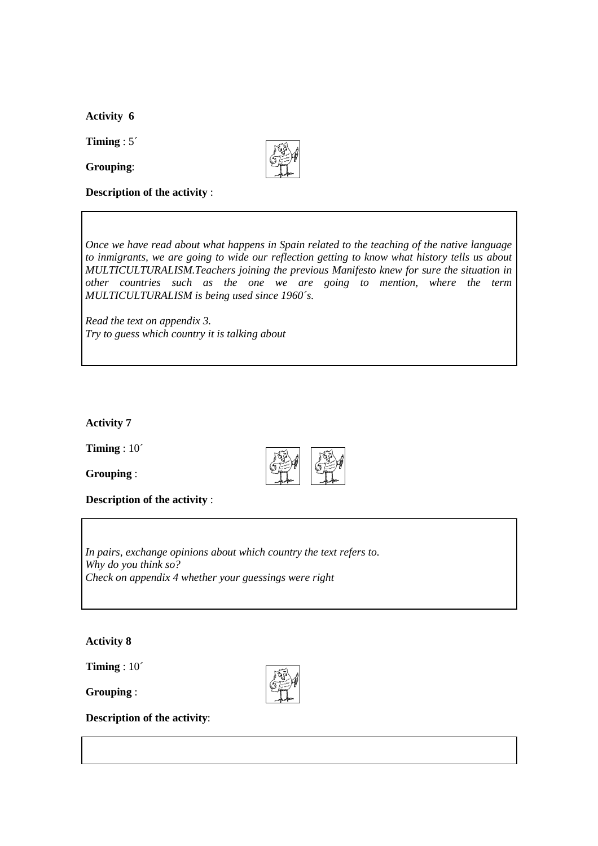**Activity 6** 

**Timing** : 5´

**Grouping**:



**Description of the activity** :

*Once we have read about what happens in Spain related to the teaching of the native language to inmigrants, we are going to wide our reflection getting to know what history tells us about MULTICULTURALISM.Teachers joining the previous Manifesto knew for sure the situation in other countries such as the one we are going to mention, where the term MULTICULTURALISM is being used since 1960´s.*

*Read the text on appendix 3. Try to guess which country it is talking about*

**Activity 7** 

**Timing** : 10´

**Grouping** :



**Description of the activity** :

*In pairs, exchange opinions about which country the text refers to. Why do you think so? Check on appendix 4 whether your guessings were right*

**Activity 8**

**Timing** : 10´

**Grouping** :



**Description of the activity**: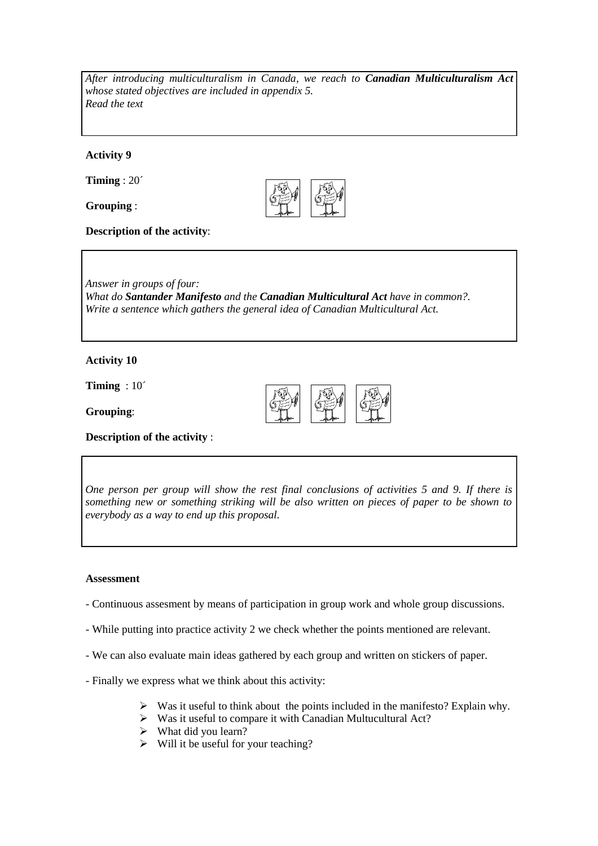*After introducing multiculturalism in Canada, we reach to Canadian Multiculturalism Act whose stated objectives are included in appendix 5. Read the text*

**Activity 9**

**Timing** : 20´

**Grouping** :



**Description of the activity**:

*Answer in groups of four: What do Santander Manifesto and the Canadian Multicultural Act have in common?. Write a sentence which gathers the general idea of Canadian Multicultural Act.*

# **Activity 10**

**Timing** : 10´

**Grouping**:



**Description of the activity** :

*One person per group will show the rest final conclusions of activities 5 and 9. If there is something new or something striking will be also written on pieces of paper to be shown to everybody as a way to end up this proposal.*

### **Assessment**

- Continuous assesment by means of participation in group work and whole group discussions.
- While putting into practice activity 2 we check whether the points mentioned are relevant.
- We can also evaluate main ideas gathered by each group and written on stickers of paper.
- Finally we express what we think about this activity:
	- > Was it useful to think about the points included in the manifesto? Explain why.
	- > Was it useful to compare it with Canadian Multucultural Act?
	- > What did you learn?
	- > Will it be useful for your teaching?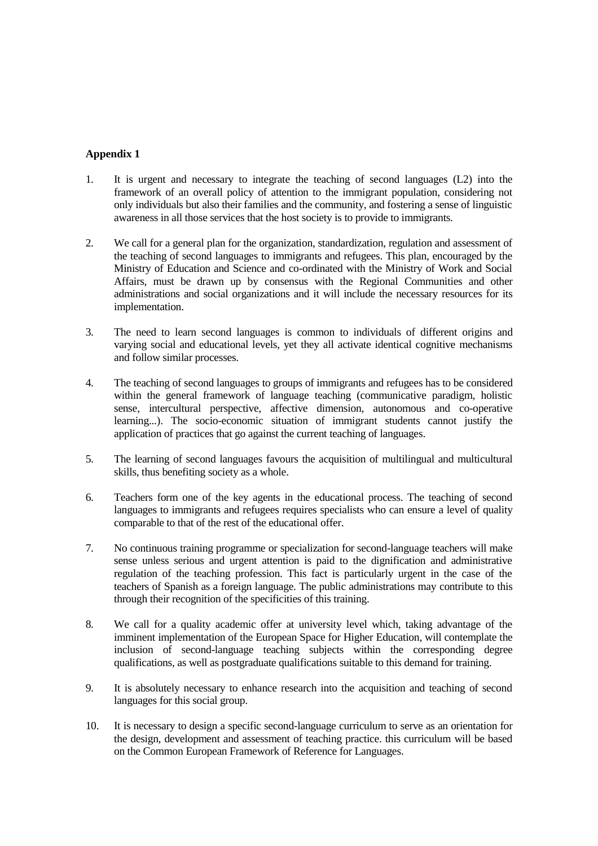# **Appendix 1**

- 1. It is urgent and necessary to integrate the teaching of second languages (L2) into the framework of an overall policy of attention to the immigrant population, considering not only individuals but also their families and the community, and fostering a sense of linguistic awareness in all those services that the host society is to provide to immigrants.
- 2. We call for a general plan for the organization, standardization, regulation and assessment of the teaching of second languages to immigrants and refugees. This plan, encouraged by the Ministry of Education and Science and co-ordinated with the Ministry of Work and Social Affairs, must be drawn up by consensus with the Regional Communities and other administrations and social organizations and it will include the necessary resources for its implementation.
- 3. The need to learn second languages is common to individuals of different origins and varying social and educational levels, yet they all activate identical cognitive mechanisms and follow similar processes.
- 4. The teaching of second languages to groups of immigrants and refugees has to be considered within the general framework of language teaching (communicative paradigm, holistic sense, intercultural perspective, affective dimension, autonomous and co-operative learning...). The socio-economic situation of immigrant students cannot justify the application of practices that go against the current teaching of languages.
- 5. The learning of second languages favours the acquisition of multilingual and multicultural skills, thus benefiting society as a whole.
- 6. Teachers form one of the key agents in the educational process. The teaching of second languages to immigrants and refugees requires specialists who can ensure a level of quality comparable to that of the rest of the educational offer.
- 7. No continuous training programme or specialization for second-language teachers will make sense unless serious and urgent attention is paid to the dignification and administrative regulation of the teaching profession. This fact is particularly urgent in the case of the teachers of Spanish as a foreign language. The public administrations may contribute to this through their recognition of the specificities of this training.
- 8. We call for a quality academic offer at university level which, taking advantage of the imminent implementation of the European Space for Higher Education, will contemplate the inclusion of second-language teaching subjects within the corresponding degree qualifications, as well as postgraduate qualifications suitable to this demand for training.
- 9. It is absolutely necessary to enhance research into the acquisition and teaching of second languages for this social group.
- 10. It is necessary to design a specific second-language curriculum to serve as an orientation for the design, development and assessment of teaching practice. this curriculum will be based on the Common European Framework of Reference for Languages.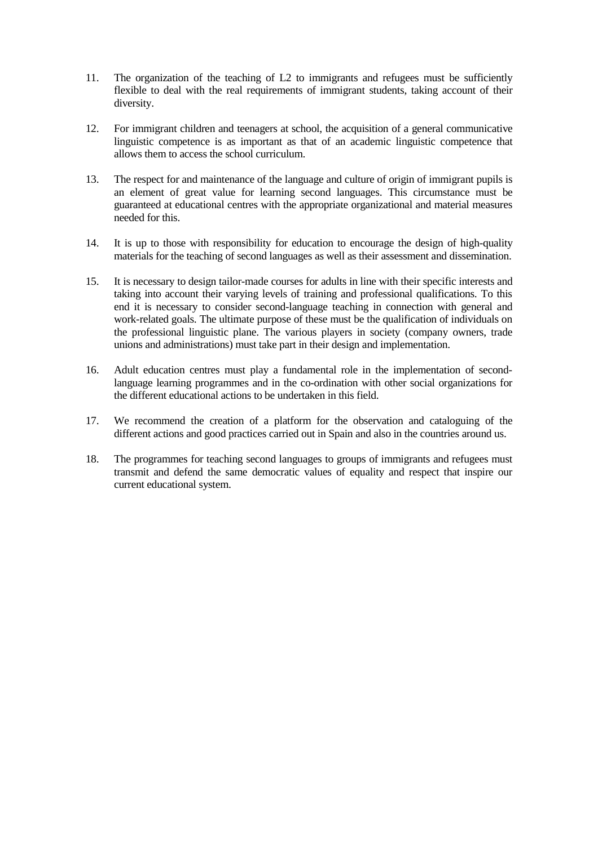- 11. The organization of the teaching of L2 to immigrants and refugees must be sufficiently flexible to deal with the real requirements of immigrant students, taking account of their diversity.
- 12. For immigrant children and teenagers at school, the acquisition of a general communicative linguistic competence is as important as that of an academic linguistic competence that allows them to access the school curriculum.
- 13. The respect for and maintenance of the language and culture of origin of immigrant pupils is an element of great value for learning second languages. This circumstance must be guaranteed at educational centres with the appropriate organizational and material measures needed for this.
- 14. It is up to those with responsibility for education to encourage the design of high-quality materials for the teaching of second languages as well as their assessment and dissemination.
- 15. It is necessary to design tailor-made courses for adults in line with their specific interests and taking into account their varying levels of training and professional qualifications. To this end it is necessary to consider second-language teaching in connection with general and work-related goals. The ultimate purpose of these must be the qualification of individuals on the professional linguistic plane. The various players in society (company owners, trade unions and administrations) must take part in their design and implementation.
- 16. Adult education centres must play a fundamental role in the implementation of secondlanguage learning programmes and in the co-ordination with other social organizations for the different educational actions to be undertaken in this field.
- 17. We recommend the creation of a platform for the observation and cataloguing of the different actions and good practices carried out in Spain and also in the countries around us.
- 18. The programmes for teaching second languages to groups of immigrants and refugees must transmit and defend the same democratic values of equality and respect that inspire our current educational system.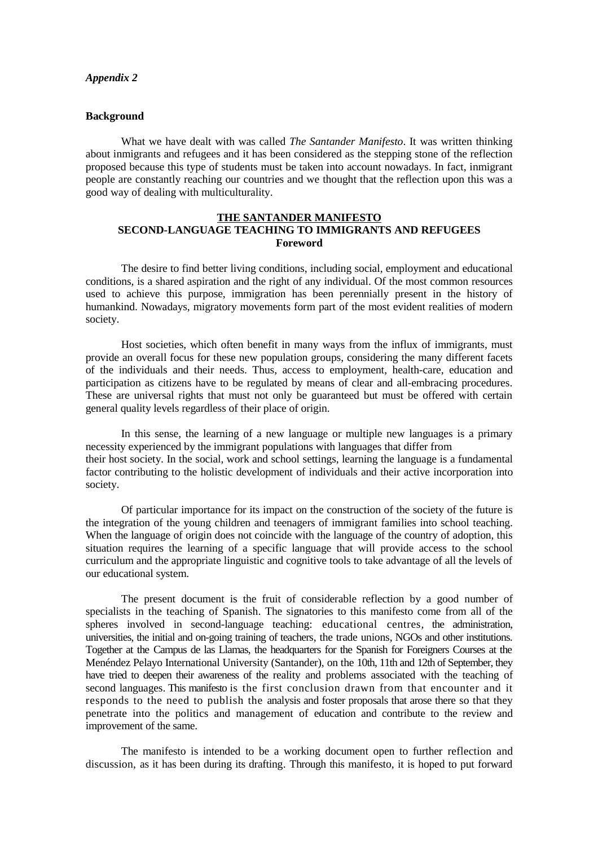### *Appendix 2*

## **Background**

What we have dealt with was called *The Santander Manifesto*. It was written thinking about inmigrants and refugees and it has been considered as the stepping stone of the reflection proposed because this type of students must be taken into account nowadays. In fact, inmigrant people are constantly reaching our countries and we thought that the reflection upon this was a good way of dealing with multiculturality.

## **THE SANTANDER MANIFESTO SECOND-LANGUAGE TEACHING TO IMMIGRANTS AND REFUGEES Foreword**

The desire to find better living conditions, including social, employment and educational conditions, is a shared aspiration and the right of any individual. Of the most common resources used to achieve this purpose, immigration has been perennially present in the history of humankind. Nowadays, migratory movements form part of the most evident realities of modern society.

Host societies, which often benefit in many ways from the influx of immigrants, must provide an overall focus for these new population groups, considering the many different facets of the individuals and their needs. Thus, access to employment, health-care, education and participation as citizens have to be regulated by means of clear and all-embracing procedures. These are universal rights that must not only be guaranteed but must be offered with certain general quality levels regardless of their place of origin.

In this sense, the learning of a new language or multiple new languages is a primary necessity experienced by the immigrant populations with languages that differ from their host society. In the social, work and school settings, learning the language is a fundamental factor contributing to the holistic development of individuals and their active incorporation into society.

Of particular importance for its impact on the construction of the society of the future is the integration of the young children and teenagers of immigrant families into school teaching. When the language of origin does not coincide with the language of the country of adoption, this situation requires the learning of a specific language that will provide access to the school curriculum and the appropriate linguistic and cognitive tools to take advantage of all the levels of our educational system.

The present document is the fruit of considerable reflection by a good number of specialists in the teaching of Spanish. The signatories to this manifesto come from all of the spheres involved in second-language teaching: educational centres, the administration, universities, the initial and on-going training of teachers, the trade unions, NGOs and other institutions. Together at the Campus de las Llamas, the headquarters for the Spanish for Foreigners Courses at the Menéndez Pelayo International University (Santander), on the 10th, 11th and 12th of September, they have tried to deepen their awareness of the reality and problems associated with the teaching of second languages. This manifesto is the first conclusion drawn from that encounter and it responds to the need to publish the analysis and foster proposals that arose there so that they penetrate into the politics and management of education and contribute to the review and improvement of the same.

The manifesto is intended to be a working document open to further reflection and discussion, as it has been during its drafting. Through this manifesto, it is hoped to put forward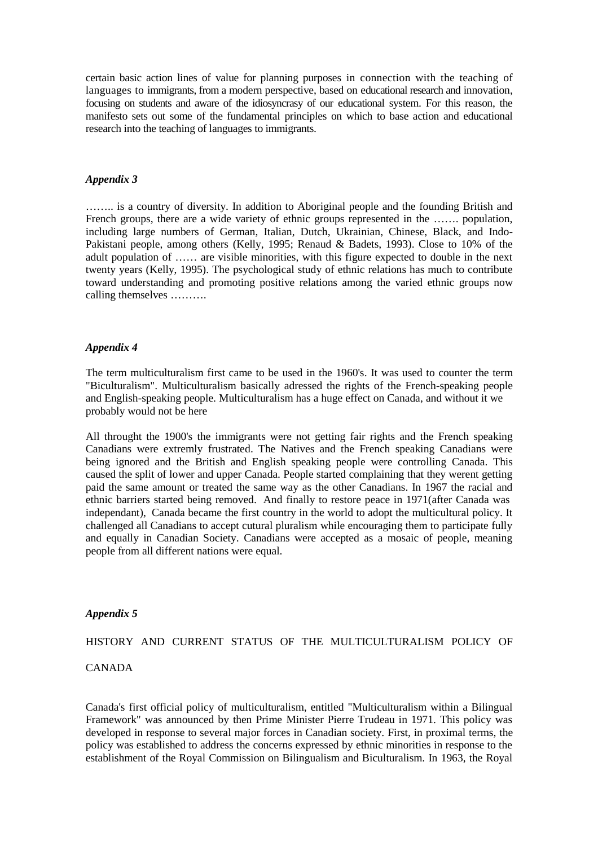certain basic action lines of value for planning purposes in connection with the teaching of languages to immigrants, from a modern perspective, based on educational research and innovation, focusing on students and aware of the idiosyncrasy of our educational system. For this reason, the manifesto sets out some of the fundamental principles on which to base action and educational research into the teaching of languages to immigrants.

### *Appendix 3*

…….. is a country of diversity. In addition to Aboriginal people and the founding British and French groups, there are a wide variety of ethnic groups represented in the ....... population, including large numbers of German, Italian, Dutch, Ukrainian, Chinese, Black, and Indo-Pakistani people, among others (Kelly, 1995; Renaud & Badets, 1993). Close to 10% of the adult population of …… are visible minorities, with this figure expected to double in the next twenty years (Kelly, 1995). The psychological study of ethnic relations has much to contribute toward understanding and promoting positive relations among the varied ethnic groups now calling themselves ……….

### *Appendix 4*

The term multiculturalism first came to be used in the 1960's. It was used to counter the term "Biculturalism". Multiculturalism basically adressed the rights of the French-speaking people and English-speaking people. Multiculturalism has a huge effect on Canada, and without it we probably would not be here

All throught the 1900's the immigrants were not getting fair rights and the French speaking Canadians were extremly frustrated. The Natives and the French speaking Canadians were being ignored and the British and English speaking people were controlling Canada. This caused the split of lower and upper Canada. People started complaining that they werent getting paid the same amount or treated the same way as the other Canadians. In 1967 the racial and ethnic barriers started being removed. And finally to restore peace in 1971(after Canada was independant), Canada became the first country in the world to adopt the multicultural policy. It challenged all Canadians to accept cutural pluralism while encouraging them to participate fully and equally in Canadian Society. Canadians were accepted as a mosaic of people, meaning people from all different nations were equal.

### *Appendix 5*

HISTORY AND CURRENT STATUS OF THE MULTICULTURALISM POLICY OF

## CANADA

Canada's first official policy of multiculturalism, entitled "Multiculturalism within a Bilingual Framework" was announced by then Prime Minister Pierre Trudeau in 1971. This policy was developed in response to several major forces in Canadian society. First, in proximal terms, the policy was established to address the concerns expressed by ethnic minorities in response to the establishment of the Royal Commission on Bilingualism and Biculturalism. In 1963, the Royal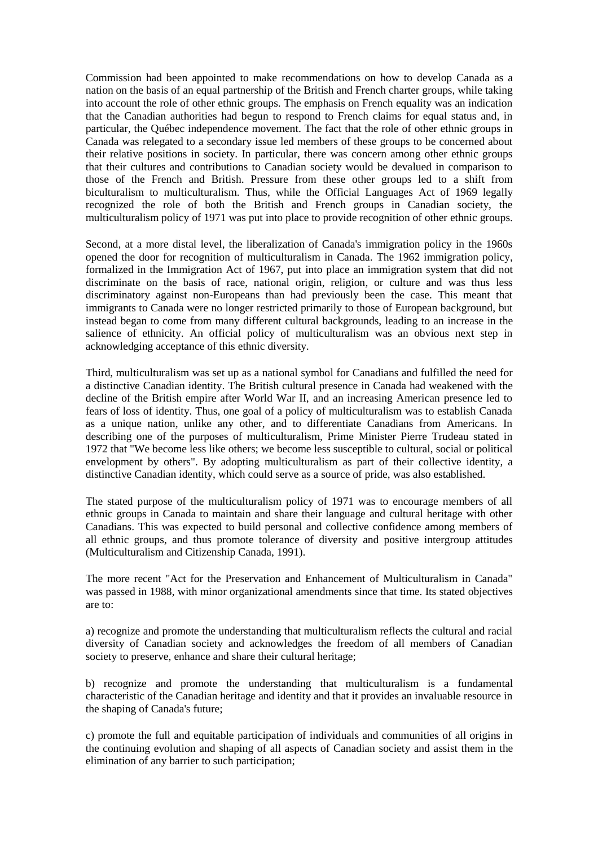Commission had been appointed to make recommendations on how to develop Canada as a nation on the basis of an equal partnership of the British and French charter groups, while taking into account the role of other ethnic groups. The emphasis on French equality was an indication that the Canadian authorities had begun to respond to French claims for equal status and, in particular, the Québec independence movement. The fact that the role of other ethnic groups in Canada was relegated to a secondary issue led members of these groups to be concerned about their relative positions in society. In particular, there was concern among other ethnic groups that their cultures and contributions to Canadian society would be devalued in comparison to those of the French and British. Pressure from these other groups led to a shift from biculturalism to multiculturalism. Thus, while the Official Languages Act of 1969 legally recognized the role of both the British and French groups in Canadian society, the multiculturalism policy of 1971 was put into place to provide recognition of other ethnic groups.

Second, at a more distal level, the liberalization of Canada's immigration policy in the 1960s opened the door for recognition of multiculturalism in Canada. The 1962 immigration policy, formalized in the Immigration Act of 1967, put into place an immigration system that did not discriminate on the basis of race, national origin, religion, or culture and was thus less discriminatory against non-Europeans than had previously been the case. This meant that immigrants to Canada were no longer restricted primarily to those of European background, but instead began to come from many different cultural backgrounds, leading to an increase in the salience of ethnicity. An official policy of multiculturalism was an obvious next step in acknowledging acceptance of this ethnic diversity.

Third, multiculturalism was set up as a national symbol for Canadians and fulfilled the need for a distinctive Canadian identity. The British cultural presence in Canada had weakened with the decline of the British empire after World War II, and an increasing American presence led to fears of loss of identity. Thus, one goal of a policy of multiculturalism was to establish Canada as a unique nation, unlike any other, and to differentiate Canadians from Americans. In describing one of the purposes of multiculturalism, Prime Minister Pierre Trudeau stated in 1972 that "We become less like others; we become less susceptible to cultural, social or political envelopment by others". By adopting multiculturalism as part of their collective identity, a distinctive Canadian identity, which could serve as a source of pride, was also established.

The stated purpose of the multiculturalism policy of 1971 was to encourage members of all ethnic groups in Canada to maintain and share their language and cultural heritage with other Canadians. This was expected to build personal and collective confidence among members of all ethnic groups, and thus promote tolerance of diversity and positive intergroup attitudes (Multiculturalism and Citizenship Canada, 1991).

The more recent "Act for the Preservation and Enhancement of Multiculturalism in Canada" was passed in 1988, with minor organizational amendments since that time. Its stated objectives are to:

a) recognize and promote the understanding that multiculturalism reflects the cultural and racial diversity of Canadian society and acknowledges the freedom of all members of Canadian society to preserve, enhance and share their cultural heritage;

b) recognize and promote the understanding that multiculturalism is a fundamental characteristic of the Canadian heritage and identity and that it provides an invaluable resource in the shaping of Canada's future;

c) promote the full and equitable participation of individuals and communities of all origins in the continuing evolution and shaping of all aspects of Canadian society and assist them in the elimination of any barrier to such participation;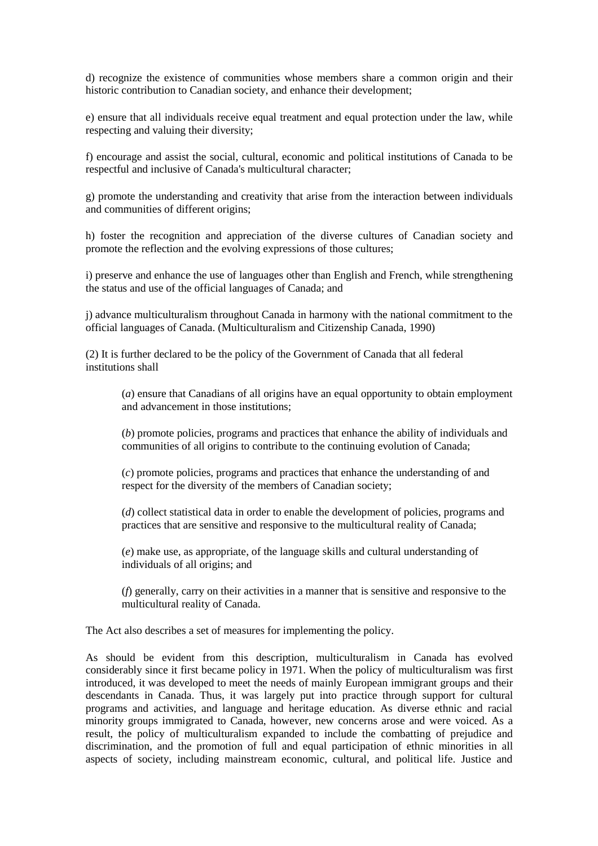d) recognize the existence of communities whose members share a common origin and their historic contribution to Canadian society, and enhance their development;

e) ensure that all individuals receive equal treatment and equal protection under the law, while respecting and valuing their diversity;

f) encourage and assist the social, cultural, economic and political institutions of Canada to be respectful and inclusive of Canada's multicultural character;

g) promote the understanding and creativity that arise from the interaction between individuals and communities of different origins;

h) foster the recognition and appreciation of the diverse cultures of Canadian society and promote the reflection and the evolving expressions of those cultures;

i) preserve and enhance the use of languages other than English and French, while strengthening the status and use of the official languages of Canada; and

j) advance multiculturalism throughout Canada in harmony with the national commitment to the official languages of Canada. (Multiculturalism and Citizenship Canada, 1990)

(2) It is further declared to be the policy of the Government of Canada that all federal institutions shall

(*a*) ensure that Canadians of all origins have an equal opportunity to obtain employment and advancement in those institutions;

(*b*) promote policies, programs and practices that enhance the ability of individuals and communities of all origins to contribute to the continuing evolution of Canada;

(*c*) promote policies, programs and practices that enhance the understanding of and respect for the diversity of the members of Canadian society;

(*d*) collect statistical data in order to enable the development of policies, programs and practices that are sensitive and responsive to the multicultural reality of Canada;

(*e*) make use, as appropriate, of the language skills and cultural understanding of individuals of all origins; and

(*f*) generally, carry on their activities in a manner that is sensitive and responsive to the multicultural reality of Canada.

The Act also describes a set of measures for implementing the policy.

As should be evident from this description, multiculturalism in Canada has evolved considerably since it first became policy in 1971. When the policy of multiculturalism was first introduced, it was developed to meet the needs of mainly European immigrant groups and their descendants in Canada. Thus, it was largely put into practice through support for cultural programs and activities, and language and heritage education. As diverse ethnic and racial minority groups immigrated to Canada, however, new concerns arose and were voiced. As a result, the policy of multiculturalism expanded to include the combatting of prejudice and discrimination, and the promotion of full and equal participation of ethnic minorities in all aspects of society, including mainstream economic, cultural, and political life. Justice and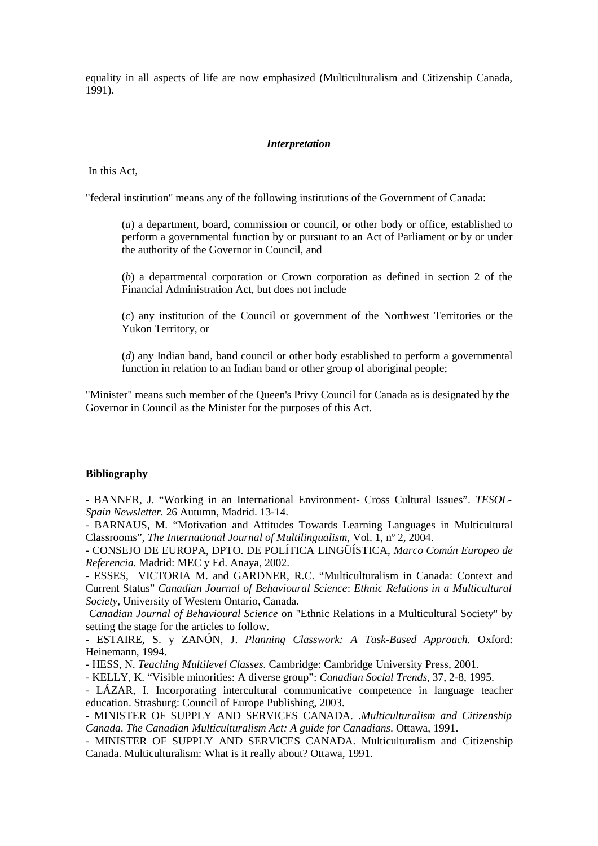equality in all aspects of life are now emphasized (Multiculturalism and Citizenship Canada, 1991).

### *Interpretation*

In this Act,

"federal institution" means any of the following institutions of the Government of Canada:

(*a*) a department, board, commission or council, or other body or office, established to perform a governmental function by or pursuant to an Act of Parliament or by or under the authority of the Governor in Council, and

(*b*) a departmental corporation or Crown corporation as defined in section 2 of the Financial Administration Act, but does not include

(*c*) any institution of the Council or government of the Northwest Territories or the Yukon Territory, or

(*d*) any Indian band, band council or other body established to perform a governmental function in relation to an Indian band or other group of aboriginal people;

"Minister" means such member of the Queen's Privy Council for Canada as is designated by the Governor in Council as the Minister for the purposes of this Act.

### **Bibliography**

- BANNER, J. "Working in an International Environment- Cross Cultural Issues". *TESOL-Spain Newsletter.* 26 Autumn, Madrid. 13-14.

- BARNAUS, M. "Motivation and Attitudes Towards Learning Languages in Multicultural Classrooms", *The International Journal of Multilingualism,* Vol. 1, nº 2, 2004.

- CONSEJO DE EUROPA, DPTO. DE POLÍTICA LINGÜÍSTICA, *Marco Común Europeo de Referencia*. Madrid: MEC y Ed. Anaya, 2002.

- ESSES, VICTORIA M. and GARDNER, R.C. "Multiculturalism in Canada: Context and Current Status" *Canadian Journal of Behavioural Science*: *Ethnic Relations in a Multicultural Society,* University of Western Ontario, Canada.

*Canadian Journal of Behavioural Science* on "Ethnic Relations in a Multicultural Society" by setting the stage for the articles to follow.

- ESTAIRE, S. y ZANÓN, J. *Planning Classwork: A Task-Based Approach.* Oxford: Heinemann, 1994.

- HESS, N. *Teaching Multilevel Classes.* Cambridge: Cambridge University Press, 2001.

- KELLY, K. "Visible minorities: A diverse group": *Canadian Social Trends*, 37, 2-8, 1995.

- LÁZAR, I. Incorporating intercultural communicative competence in language teacher education. Strasburg: Council of Europe Publishing, 2003.

- MINISTER OF SUPPLY AND SERVICES CANADA. .*Multiculturalism and Citizenship Canada*. *The Canadian Multiculturalism Act: A guide for Canadians*. Ottawa, 1991.

- MINISTER OF SUPPLY AND SERVICES CANADA. Multiculturalism and Citizenship Canada. Multiculturalism: What is it really about? Ottawa, 1991.